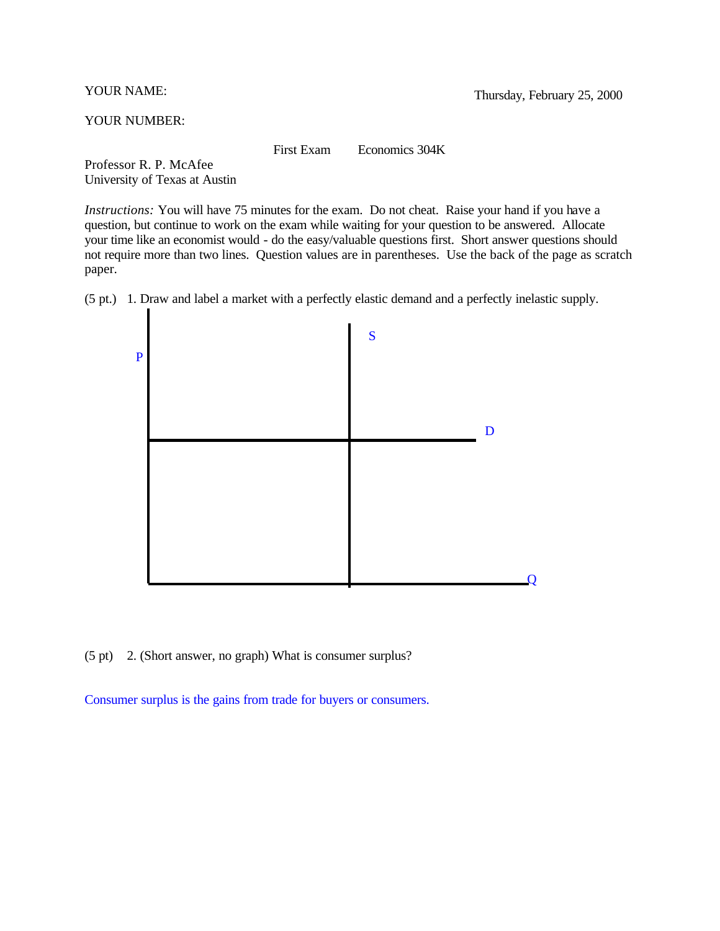YOUR NUMBER:

First Exam Economics 304K

Professor R. P. McAfee University of Texas at Austin

*Instructions:* You will have 75 minutes for the exam. Do not cheat. Raise your hand if you have a question, but continue to work on the exam while waiting for your question to be answered. Allocate your time like an economist would - do the easy/valuable questions first. Short answer questions should not require more than two lines. Question values are in parentheses. Use the back of the page as scratch paper.

(5 pt.) 1. Draw and label a market with a perfectly elastic demand and a perfectly inelastic supply.



(5 pt) 2. (Short answer, no graph) What is consumer surplus?

Consumer surplus is the gains from trade for buyers or consumers.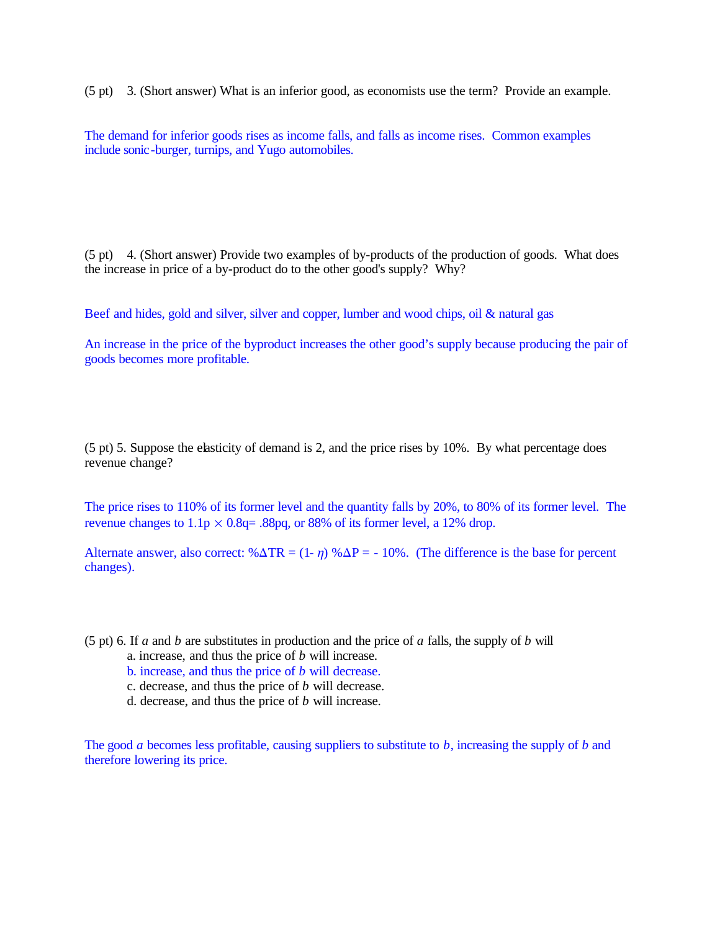(5 pt) 3. (Short answer) What is an inferior good, as economists use the term? Provide an example.

The demand for inferior goods rises as income falls, and falls as income rises. Common examples include sonic-burger, turnips, and Yugo automobiles.

(5 pt) 4. (Short answer) Provide two examples of by-products of the production of goods. What does the increase in price of a by-product do to the other good's supply? Why?

Beef and hides, gold and silver, silver and copper, lumber and wood chips, oil & natural gas

An increase in the price of the byproduct increases the other good's supply because producing the pair of goods becomes more profitable.

(5 pt) 5. Suppose the elasticity of demand is 2, and the price rises by 10%. By what percentage does revenue change?

The price rises to 110% of its former level and the quantity falls by 20%, to 80% of its former level. The revenue changes to  $1.1p \times 0.8q = .88pq$ , or 88% of its former level, a 12% drop.

Alternate answer, also correct:  $\% \Delta TR = (1 - \eta) \% \Delta P = -10\%$ . (The difference is the base for percent changes).

(5 pt) 6. If *a* and *b* are substitutes in production and the price of *a* falls, the supply of *b* will

- a. increase, and thus the price of *b* will increase.
- b. increase, and thus the price of *b* will decrease.
- c. decrease, and thus the price of *b* will decrease.
- d. decrease, and thus the price of *b* will increase.

The good *a* becomes less profitable, causing suppliers to substitute to *b*, increasing the supply of *b* and therefore lowering its price.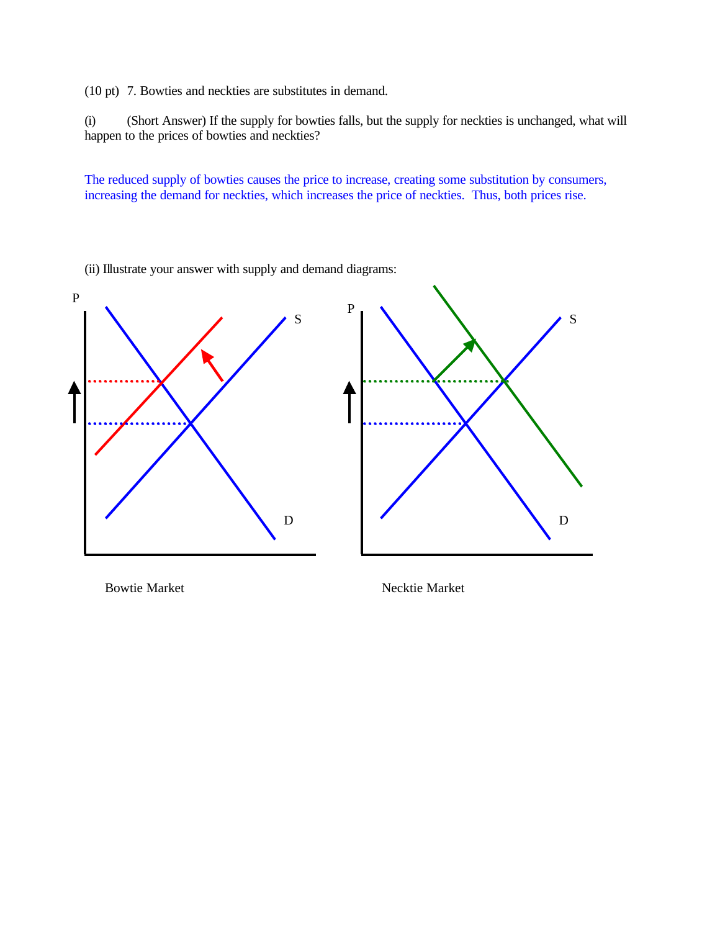(10 pt) 7. Bowties and neckties are substitutes in demand.

(i) (Short Answer) If the supply for bowties falls, but the supply for neckties is unchanged, what will happen to the prices of bowties and neckties?

The reduced supply of bowties causes the price to increase, creating some substitution by consumers, increasing the demand for neckties, which increases the price of neckties. Thus, both prices rise.



(ii) Illustrate your answer with supply and demand diagrams:

Bowtie Market Necktie Market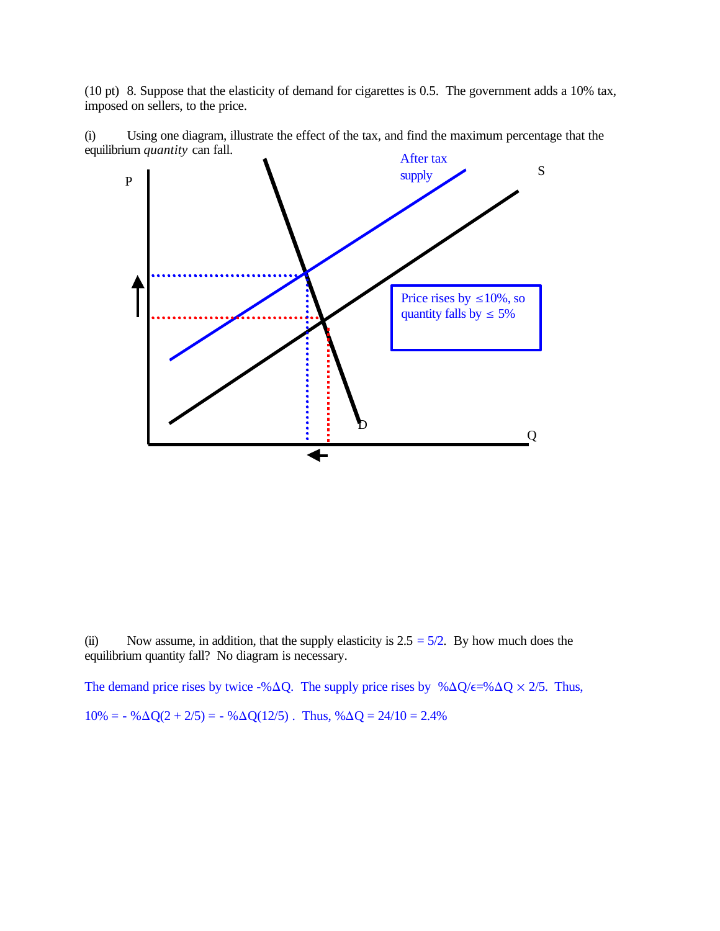(10 pt) 8. Suppose that the elasticity of demand for cigarettes is 0.5. The government adds a 10% tax, imposed on sellers, to the price.



(i) Using one diagram, illustrate the effect of the tax, and find the maximum percentage that the equilibrium *quantity* can fall.

(ii) Now assume, in addition, that the supply elasticity is  $2.5 = 5/2$ . By how much does the equilibrium quantity fall? No diagram is necessary.

The demand price rises by twice -% $\Delta Q$ . The supply price rises by % $\Delta Q/\epsilon$ =% $\Delta Q \times 2/5$ . Thus,  $10\% = -\% \Delta Q(2 + 2/5) = -\% \Delta Q(12/5)$ . Thus,  $\% \Delta Q = 24/10 = 2.4\%$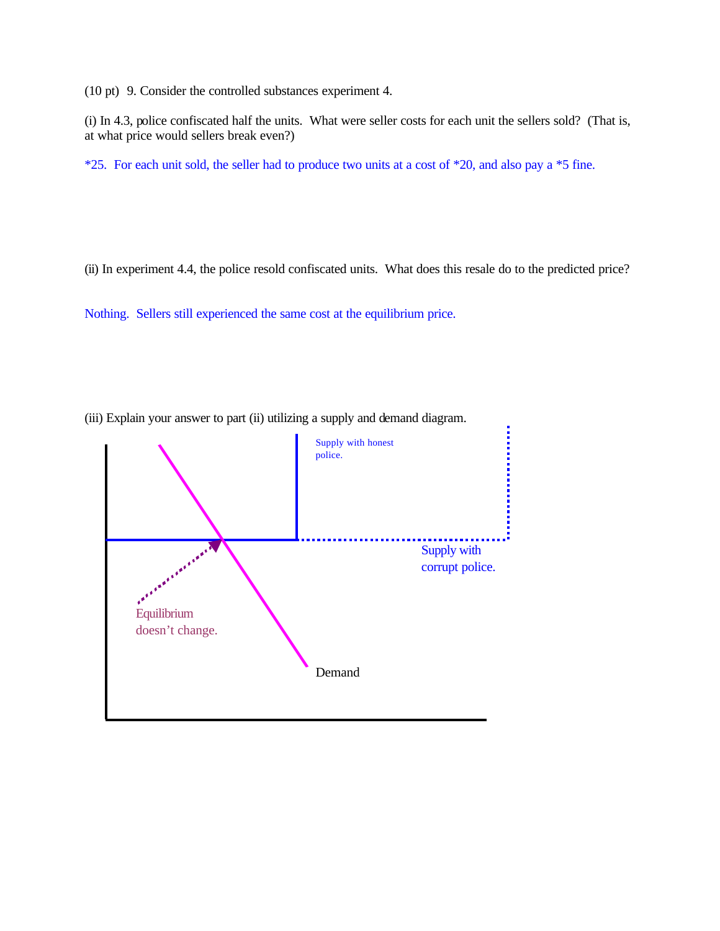(10 pt) 9. Consider the controlled substances experiment 4.

(i) In 4.3, police confiscated half the units. What were seller costs for each unit the sellers sold? (That is, at what price would sellers break even?)

\*25. For each unit sold, the seller had to produce two units at a cost of \*20, and also pay a \*5 fine.

(ii) In experiment 4.4, the police resold confiscated units. What does this resale do to the predicted price?

Nothing. Sellers still experienced the same cost at the equilibrium price.



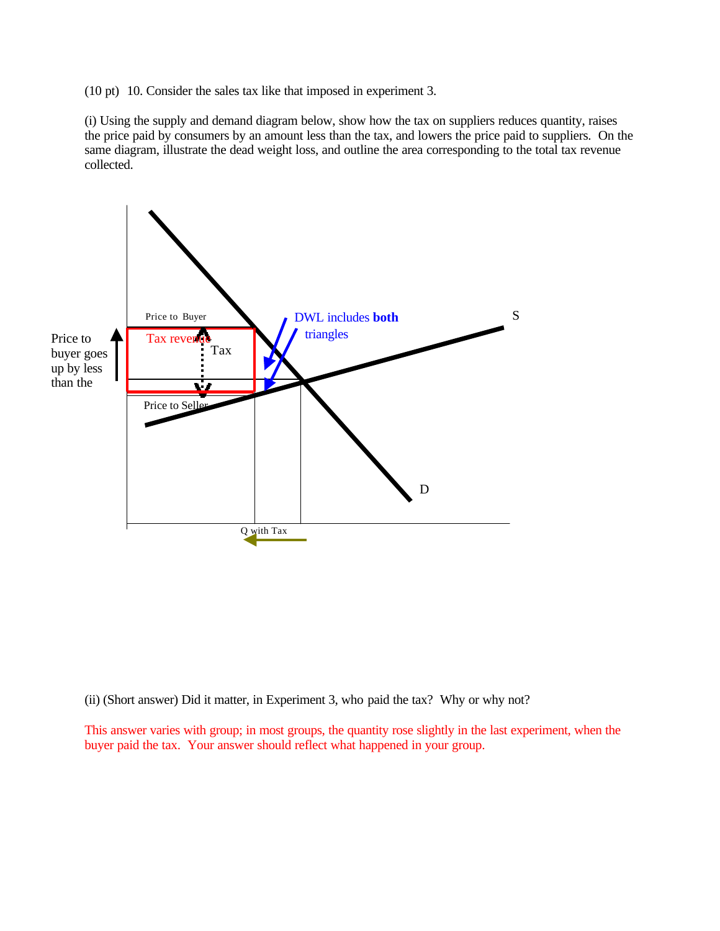(10 pt) 10. Consider the sales tax like that imposed in experiment 3.

(i) Using the supply and demand diagram below, show how the tax on suppliers reduces quantity, raises the price paid by consumers by an amount less than the tax, and lowers the price paid to suppliers. On the same diagram, illustrate the dead weight loss, and outline the area corresponding to the total tax revenue collected.



(ii) (Short answer) Did it matter, in Experiment 3, who paid the tax? Why or why not?

This answer varies with group; in most groups, the quantity rose slightly in the last experiment, when the buyer paid the tax. Your answer should reflect what happened in your group.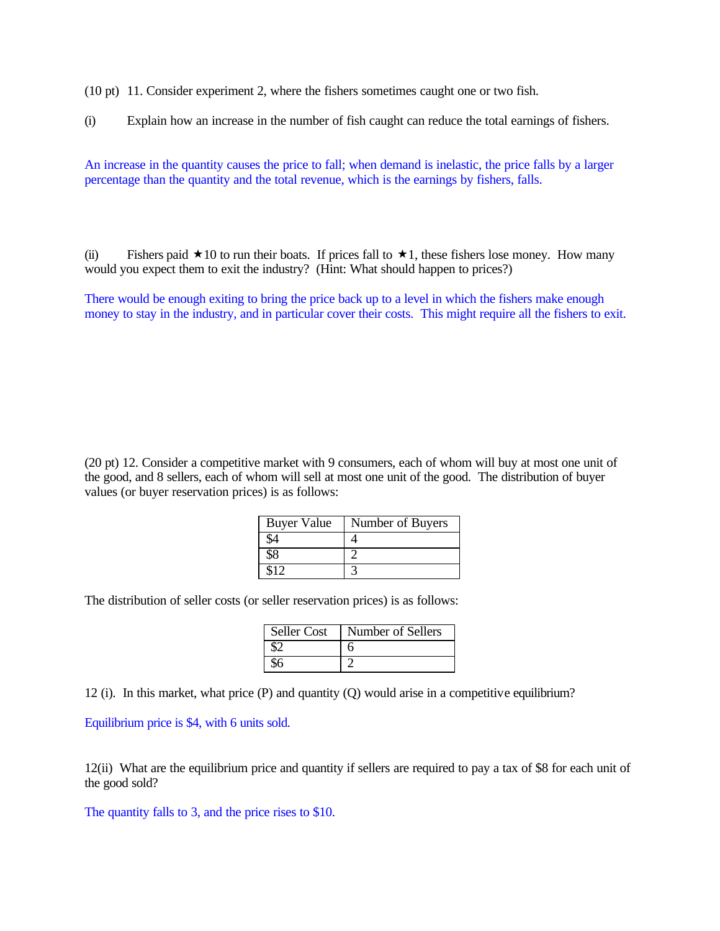(10 pt) 11. Consider experiment 2, where the fishers sometimes caught one or two fish.

(i) Explain how an increase in the number of fish caught can reduce the total earnings of fishers.

An increase in the quantity causes the price to fall; when demand is inelastic, the price falls by a larger percentage than the quantity and the total revenue, which is the earnings by fishers, falls.

(ii) Fishers paid  $\star 10$  to run their boats. If prices fall to  $\star 1$ , these fishers lose money. How many would you expect them to exit the industry? (Hint: What should happen to prices?)

There would be enough exiting to bring the price back up to a level in which the fishers make enough money to stay in the industry, and in particular cover their costs. This might require all the fishers to exit.

(20 pt) 12. Consider a competitive market with 9 consumers, each of whom will buy at most one unit of the good, and 8 sellers, each of whom will sell at most one unit of the good. The distribution of buyer values (or buyer reservation prices) is as follows:

| <b>Buyer Value</b> | Number of Buyers |
|--------------------|------------------|
|                    |                  |
|                    |                  |
|                    |                  |

The distribution of seller costs (or seller reservation prices) is as follows:

| <b>Seller Cost</b> | Number of Sellers |
|--------------------|-------------------|
|                    |                   |
|                    |                   |

12 (i). In this market, what price (P) and quantity (Q) would arise in a competitive equilibrium?

Equilibrium price is \$4, with 6 units sold.

12(ii) What are the equilibrium price and quantity if sellers are required to pay a tax of \$8 for each unit of the good sold?

The quantity falls to 3, and the price rises to \$10.